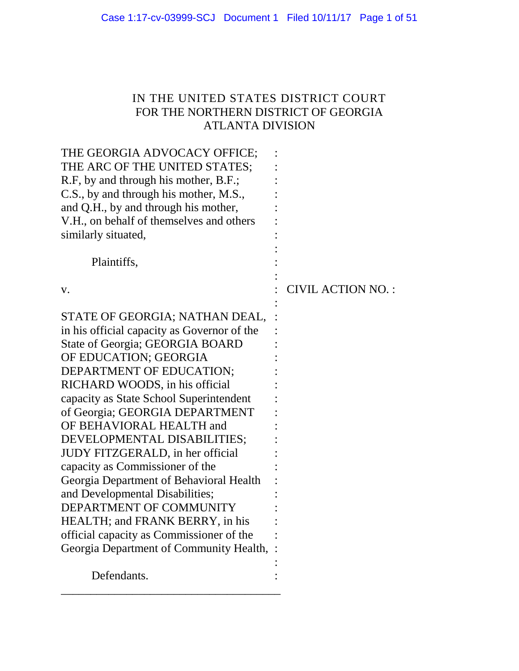# IN THE UNITED STATES DISTRICT COURT FOR THE NORTHERN DISTRICT OF GEORGIA ATLANTA DIVISION

| THE GEORGIA ADVOCACY OFFICE;<br>THE ARC OF THE UNITED STATES;<br>R.F, by and through his mother, B.F.;<br>C.S., by and through his mother, M.S.,<br>and Q.H., by and through his mother,<br>V.H., on behalf of themselves and others<br>similarly situated,                                                                                                                                                                                                                                                                                                                                                                                                        |                   |
|--------------------------------------------------------------------------------------------------------------------------------------------------------------------------------------------------------------------------------------------------------------------------------------------------------------------------------------------------------------------------------------------------------------------------------------------------------------------------------------------------------------------------------------------------------------------------------------------------------------------------------------------------------------------|-------------------|
| Plaintiffs,                                                                                                                                                                                                                                                                                                                                                                                                                                                                                                                                                                                                                                                        |                   |
| V.                                                                                                                                                                                                                                                                                                                                                                                                                                                                                                                                                                                                                                                                 | CIVIL ACTION NO.: |
| STATE OF GEORGIA; NATHAN DEAL,<br>in his official capacity as Governor of the<br>State of Georgia; GEORGIA BOARD<br>OF EDUCATION; GEORGIA<br>DEPARTMENT OF EDUCATION;<br>RICHARD WOODS, in his official<br>capacity as State School Superintendent<br>of Georgia; GEORGIA DEPARTMENT<br>OF BEHAVIORAL HEALTH and<br>DEVELOPMENTAL DISABILITIES;<br><b>JUDY FITZGERALD, in her official</b><br>capacity as Commissioner of the<br>Georgia Department of Behavioral Health<br>and Developmental Disabilities;<br>DEPARTMENT OF COMMUNITY<br>HEALTH; and FRANK BERRY, in his<br>official capacity as Commissioner of the<br>Georgia Department of Community Health, : |                   |
| Defendants.                                                                                                                                                                                                                                                                                                                                                                                                                                                                                                                                                                                                                                                        |                   |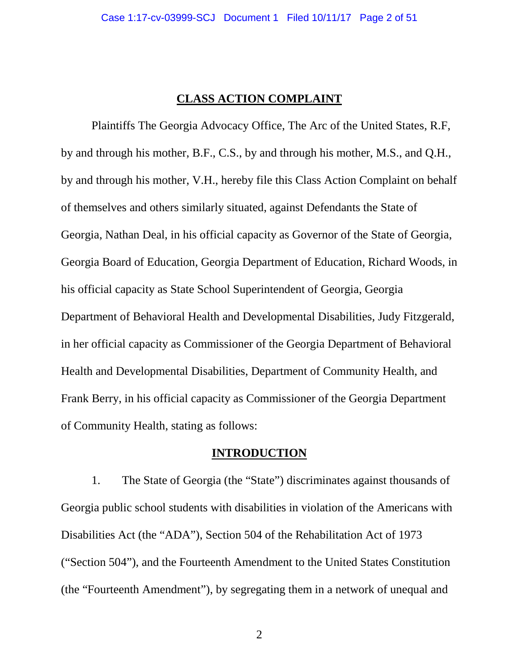### **CLASS ACTION COMPLAINT**

Plaintiffs The Georgia Advocacy Office, The Arc of the United States, R.F, by and through his mother, B.F., C.S., by and through his mother, M.S., and Q.H., by and through his mother, V.H., hereby file this Class Action Complaint on behalf of themselves and others similarly situated, against Defendants the State of Georgia, Nathan Deal, in his official capacity as Governor of the State of Georgia, Georgia Board of Education, Georgia Department of Education, Richard Woods, in his official capacity as State School Superintendent of Georgia, Georgia Department of Behavioral Health and Developmental Disabilities, Judy Fitzgerald, in her official capacity as Commissioner of the Georgia Department of Behavioral Health and Developmental Disabilities, Department of Community Health, and Frank Berry, in his official capacity as Commissioner of the Georgia Department of Community Health, stating as follows:

## **INTRODUCTION**

1. The State of Georgia (the "State") discriminates against thousands of Georgia public school students with disabilities in violation of the Americans with Disabilities Act (the "ADA"), Section 504 of the Rehabilitation Act of 1973 ("Section 504"), and the Fourteenth Amendment to the United States Constitution (the "Fourteenth Amendment"), by segregating them in a network of unequal and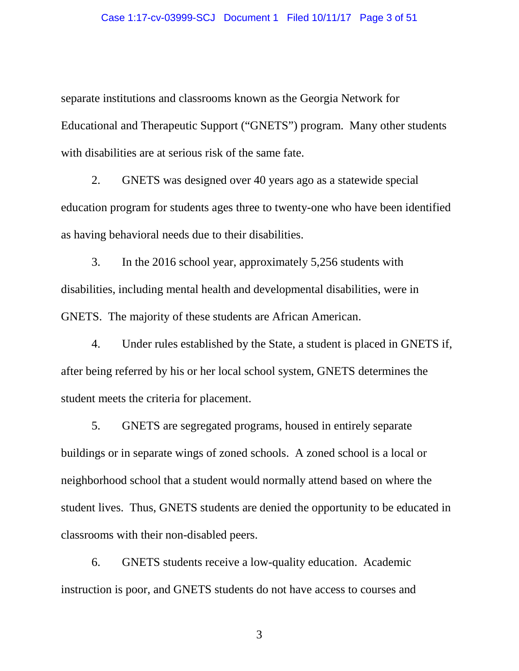#### Case 1:17-cv-03999-SCJ Document 1 Filed 10/11/17 Page 3 of 51

separate institutions and classrooms known as the Georgia Network for Educational and Therapeutic Support ("GNETS") program. Many other students with disabilities are at serious risk of the same fate.

2. GNETS was designed over 40 years ago as a statewide special education program for students ages three to twenty-one who have been identified as having behavioral needs due to their disabilities.

3. In the 2016 school year, approximately 5,256 students with disabilities, including mental health and developmental disabilities, were in GNETS. The majority of these students are African American.

4. Under rules established by the State, a student is placed in GNETS if, after being referred by his or her local school system, GNETS determines the student meets the criteria for placement.

5. GNETS are segregated programs, housed in entirely separate buildings or in separate wings of zoned schools. A zoned school is a local or neighborhood school that a student would normally attend based on where the student lives. Thus, GNETS students are denied the opportunity to be educated in classrooms with their non-disabled peers.

6. GNETS students receive a low-quality education. Academic instruction is poor, and GNETS students do not have access to courses and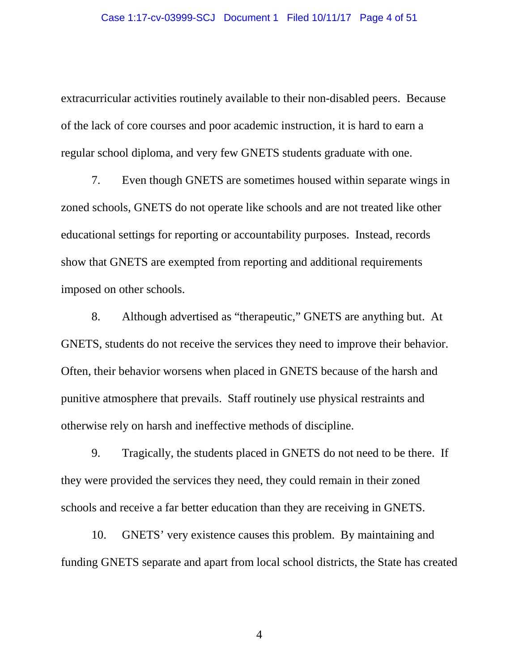extracurricular activities routinely available to their non-disabled peers. Because of the lack of core courses and poor academic instruction, it is hard to earn a regular school diploma, and very few GNETS students graduate with one.

7. Even though GNETS are sometimes housed within separate wings in zoned schools, GNETS do not operate like schools and are not treated like other educational settings for reporting or accountability purposes. Instead, records show that GNETS are exempted from reporting and additional requirements imposed on other schools.

8. Although advertised as "therapeutic," GNETS are anything but. At GNETS, students do not receive the services they need to improve their behavior. Often, their behavior worsens when placed in GNETS because of the harsh and punitive atmosphere that prevails. Staff routinely use physical restraints and otherwise rely on harsh and ineffective methods of discipline.

9. Tragically, the students placed in GNETS do not need to be there. If they were provided the services they need, they could remain in their zoned schools and receive a far better education than they are receiving in GNETS.

10. GNETS' very existence causes this problem. By maintaining and funding GNETS separate and apart from local school districts, the State has created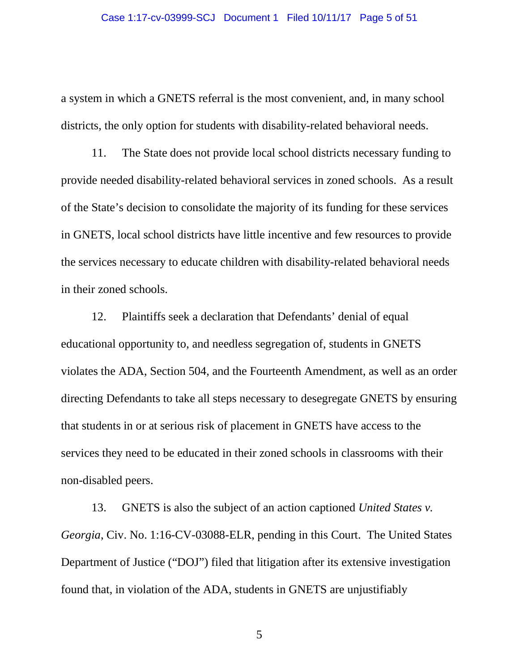a system in which a GNETS referral is the most convenient, and, in many school districts, the only option for students with disability-related behavioral needs.

11. The State does not provide local school districts necessary funding to provide needed disability-related behavioral services in zoned schools. As a result of the State's decision to consolidate the majority of its funding for these services in GNETS, local school districts have little incentive and few resources to provide the services necessary to educate children with disability-related behavioral needs in their zoned schools.

12. Plaintiffs seek a declaration that Defendants' denial of equal educational opportunity to, and needless segregation of, students in GNETS violates the ADA, Section 504, and the Fourteenth Amendment, as well as an order directing Defendants to take all steps necessary to desegregate GNETS by ensuring that students in or at serious risk of placement in GNETS have access to the services they need to be educated in their zoned schools in classrooms with their non-disabled peers.

13. GNETS is also the subject of an action captioned *United States v. Georgia*, Civ. No. 1:16-CV-03088-ELR, pending in this Court. The United States Department of Justice ("DOJ") filed that litigation after its extensive investigation found that, in violation of the ADA, students in GNETS are unjustifiably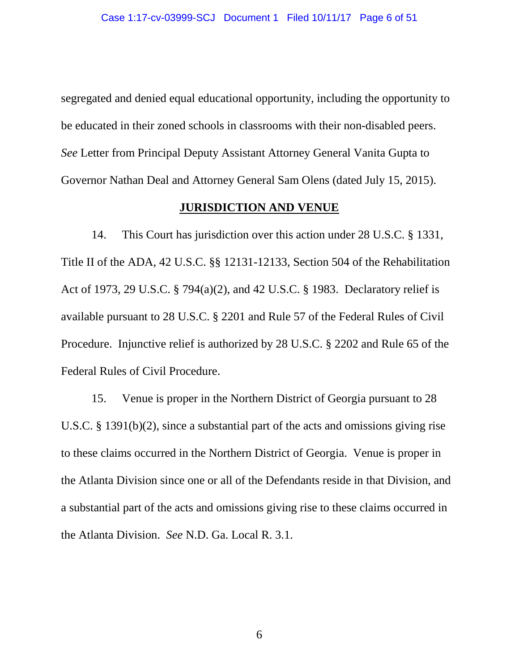segregated and denied equal educational opportunity, including the opportunity to be educated in their zoned schools in classrooms with their non-disabled peers. *See* Letter from Principal Deputy Assistant Attorney General Vanita Gupta to Governor Nathan Deal and Attorney General Sam Olens (dated July 15, 2015).

### **JURISDICTION AND VENUE**

14. This Court has jurisdiction over this action under 28 U.S.C. § 1331, Title II of the ADA, 42 U.S.C. §§ 12131-12133, Section 504 of the Rehabilitation Act of 1973, 29 U.S.C. § 794(a)(2), and 42 U.S.C. § 1983. Declaratory relief is available pursuant to 28 U.S.C. § 2201 and Rule 57 of the Federal Rules of Civil Procedure. Injunctive relief is authorized by 28 U.S.C. § 2202 and Rule 65 of the Federal Rules of Civil Procedure.

15. Venue is proper in the Northern District of Georgia pursuant to 28 U.S.C. § 1391(b)(2), since a substantial part of the acts and omissions giving rise to these claims occurred in the Northern District of Georgia. Venue is proper in the Atlanta Division since one or all of the Defendants reside in that Division, and a substantial part of the acts and omissions giving rise to these claims occurred in the Atlanta Division. *See* N.D. Ga. Local R. 3.1.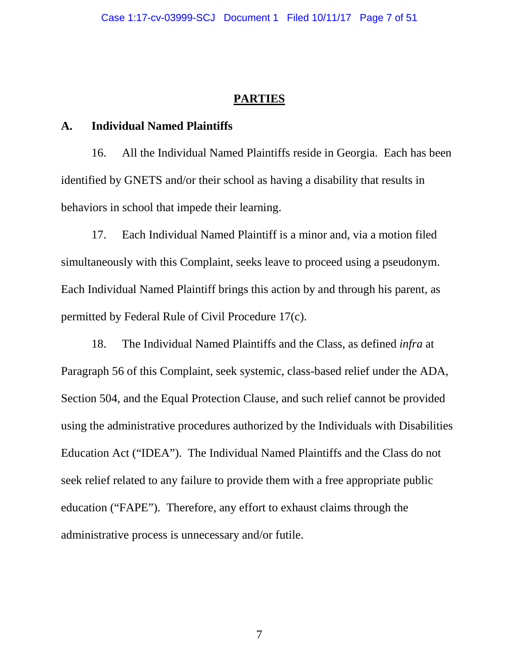### **PARTIES**

#### **A. Individual Named Plaintiffs**

16. All the Individual Named Plaintiffs reside in Georgia. Each has been identified by GNETS and/or their school as having a disability that results in behaviors in school that impede their learning.

17. Each Individual Named Plaintiff is a minor and, via a motion filed simultaneously with this Complaint, seeks leave to proceed using a pseudonym. Each Individual Named Plaintiff brings this action by and through his parent, as permitted by Federal Rule of Civil Procedure 17(c).

18. The Individual Named Plaintiffs and the Class, as defined *infra* at Paragraph 56 of this Complaint, seek systemic, class-based relief under the ADA, Section 504, and the Equal Protection Clause, and such relief cannot be provided using the administrative procedures authorized by the Individuals with Disabilities Education Act ("IDEA"). The Individual Named Plaintiffs and the Class do not seek relief related to any failure to provide them with a free appropriate public education ("FAPE"). Therefore, any effort to exhaust claims through the administrative process is unnecessary and/or futile.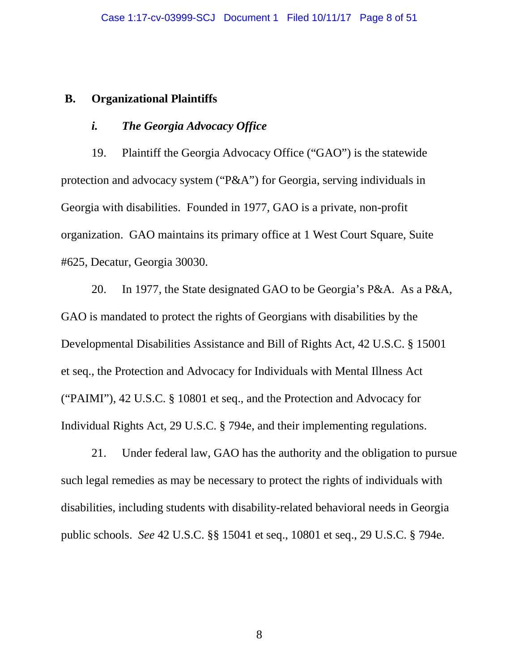#### **B. Organizational Plaintiffs**

### *i. The Georgia Advocacy Office*

19. Plaintiff the Georgia Advocacy Office ("GAO") is the statewide protection and advocacy system ("P&A") for Georgia, serving individuals in Georgia with disabilities. Founded in 1977, GAO is a private, non-profit organization. GAO maintains its primary office at 1 West Court Square, Suite #625, Decatur, Georgia 30030.

20. In 1977, the State designated GAO to be Georgia's P&A. As a P&A, GAO is mandated to protect the rights of Georgians with disabilities by the Developmental Disabilities Assistance and Bill of Rights Act, 42 U.S.C. § 15001 et seq., the Protection and Advocacy for Individuals with Mental Illness Act ("PAIMI"), 42 U.S.C. § 10801 et seq., and the Protection and Advocacy for Individual Rights Act, 29 U.S.C. § 794e, and their implementing regulations.

21. Under federal law, GAO has the authority and the obligation to pursue such legal remedies as may be necessary to protect the rights of individuals with disabilities, including students with disability-related behavioral needs in Georgia public schools. *See* 42 U.S.C. §§ 15041 et seq., 10801 et seq., 29 U.S.C. § 794e.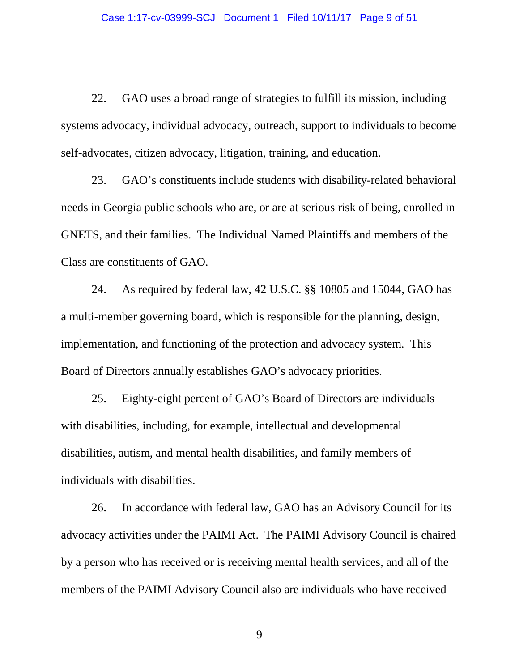22. GAO uses a broad range of strategies to fulfill its mission, including systems advocacy, individual advocacy, outreach, support to individuals to become self-advocates, citizen advocacy, litigation, training, and education.

23. GAO's constituents include students with disability-related behavioral needs in Georgia public schools who are, or are at serious risk of being, enrolled in GNETS, and their families. The Individual Named Plaintiffs and members of the Class are constituents of GAO.

24. As required by federal law, 42 U.S.C. §§ 10805 and 15044, GAO has a multi-member governing board, which is responsible for the planning, design, implementation, and functioning of the protection and advocacy system. This Board of Directors annually establishes GAO's advocacy priorities.

25. Eighty-eight percent of GAO's Board of Directors are individuals with disabilities, including, for example, intellectual and developmental disabilities, autism, and mental health disabilities, and family members of individuals with disabilities.

26. In accordance with federal law, GAO has an Advisory Council for its advocacy activities under the PAIMI Act. The PAIMI Advisory Council is chaired by a person who has received or is receiving mental health services, and all of the members of the PAIMI Advisory Council also are individuals who have received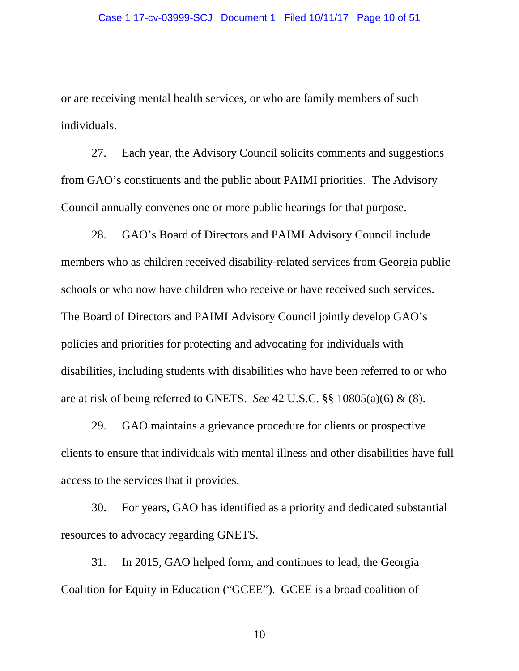or are receiving mental health services, or who are family members of such individuals.

27. Each year, the Advisory Council solicits comments and suggestions from GAO's constituents and the public about PAIMI priorities. The Advisory Council annually convenes one or more public hearings for that purpose.

28. GAO's Board of Directors and PAIMI Advisory Council include members who as children received disability-related services from Georgia public schools or who now have children who receive or have received such services. The Board of Directors and PAIMI Advisory Council jointly develop GAO's policies and priorities for protecting and advocating for individuals with disabilities, including students with disabilities who have been referred to or who are at risk of being referred to GNETS. *See* 42 U.S.C. §§ 10805(a)(6) & (8).

29. GAO maintains a grievance procedure for clients or prospective clients to ensure that individuals with mental illness and other disabilities have full access to the services that it provides.

30. For years, GAO has identified as a priority and dedicated substantial resources to advocacy regarding GNETS.

31. In 2015, GAO helped form, and continues to lead, the Georgia Coalition for Equity in Education ("GCEE"). GCEE is a broad coalition of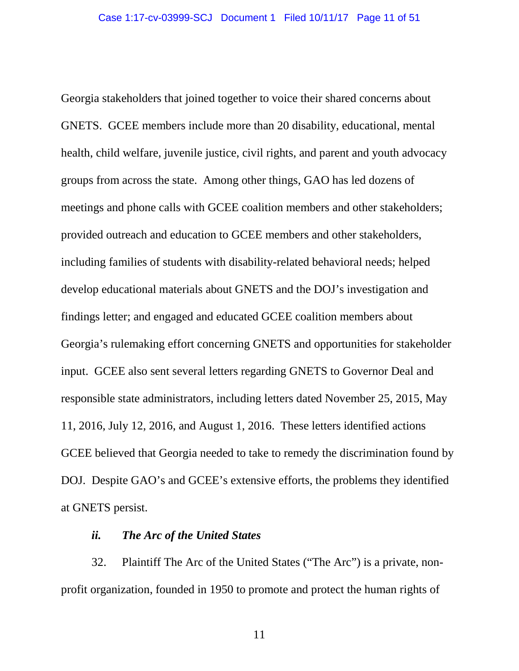Georgia stakeholders that joined together to voice their shared concerns about GNETS. GCEE members include more than 20 disability, educational, mental health, child welfare, juvenile justice, civil rights, and parent and youth advocacy groups from across the state. Among other things, GAO has led dozens of meetings and phone calls with GCEE coalition members and other stakeholders; provided outreach and education to GCEE members and other stakeholders, including families of students with disability-related behavioral needs; helped develop educational materials about GNETS and the DOJ's investigation and findings letter; and engaged and educated GCEE coalition members about Georgia's rulemaking effort concerning GNETS and opportunities for stakeholder input. GCEE also sent several letters regarding GNETS to Governor Deal and responsible state administrators, including letters dated November 25, 2015, May 11, 2016, July 12, 2016, and August 1, 2016. These letters identified actions GCEE believed that Georgia needed to take to remedy the discrimination found by DOJ. Despite GAO's and GCEE's extensive efforts, the problems they identified at GNETS persist.

### *ii. The Arc of the United States*

32. Plaintiff The Arc of the United States ("The Arc") is a private, nonprofit organization, founded in 1950 to promote and protect the human rights of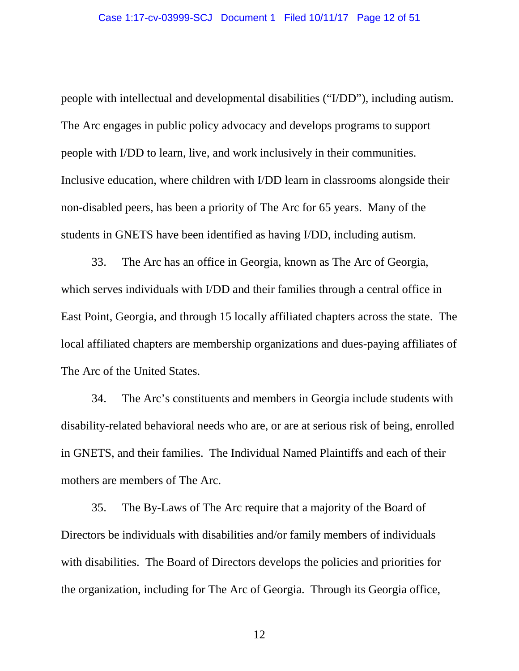people with intellectual and developmental disabilities ("I/DD"), including autism. The Arc engages in public policy advocacy and develops programs to support people with I/DD to learn, live, and work inclusively in their communities. Inclusive education, where children with I/DD learn in classrooms alongside their non-disabled peers, has been a priority of The Arc for 65 years. Many of the students in GNETS have been identified as having I/DD, including autism.

33. The Arc has an office in Georgia, known as The Arc of Georgia, which serves individuals with I/DD and their families through a central office in East Point, Georgia, and through 15 locally affiliated chapters across the state. The local affiliated chapters are membership organizations and dues-paying affiliates of The Arc of the United States.

34. The Arc's constituents and members in Georgia include students with disability-related behavioral needs who are, or are at serious risk of being, enrolled in GNETS, and their families. The Individual Named Plaintiffs and each of their mothers are members of The Arc.

35. The By-Laws of The Arc require that a majority of the Board of Directors be individuals with disabilities and/or family members of individuals with disabilities. The Board of Directors develops the policies and priorities for the organization, including for The Arc of Georgia. Through its Georgia office,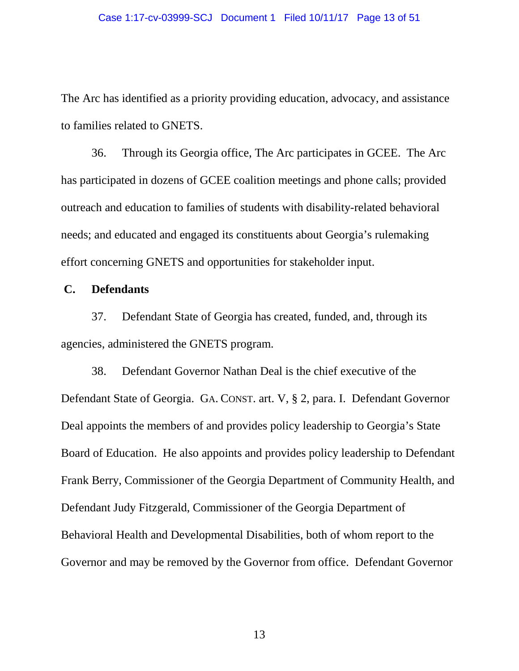The Arc has identified as a priority providing education, advocacy, and assistance to families related to GNETS.

36. Through its Georgia office, The Arc participates in GCEE. The Arc has participated in dozens of GCEE coalition meetings and phone calls; provided outreach and education to families of students with disability-related behavioral needs; and educated and engaged its constituents about Georgia's rulemaking effort concerning GNETS and opportunities for stakeholder input.

#### **C. Defendants**

37. Defendant State of Georgia has created, funded, and, through its agencies, administered the GNETS program.

38. Defendant Governor Nathan Deal is the chief executive of the Defendant State of Georgia. GA. CONST. art. V, § 2, para. I. Defendant Governor Deal appoints the members of and provides policy leadership to Georgia's State Board of Education. He also appoints and provides policy leadership to Defendant Frank Berry, Commissioner of the Georgia Department of Community Health, and Defendant Judy Fitzgerald, Commissioner of the Georgia Department of Behavioral Health and Developmental Disabilities, both of whom report to the Governor and may be removed by the Governor from office. Defendant Governor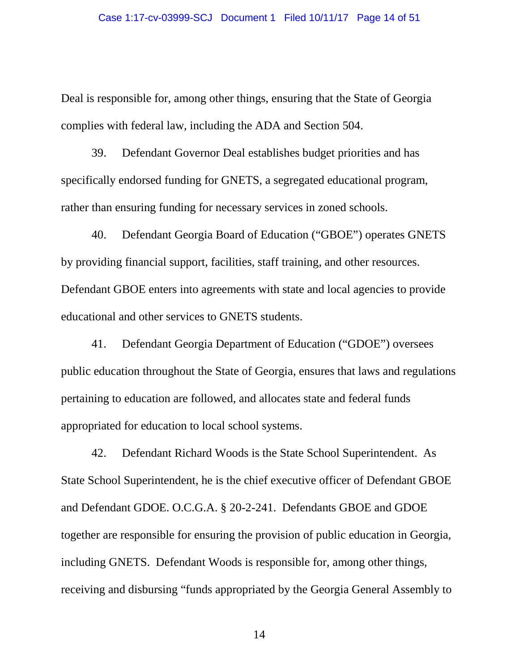Deal is responsible for, among other things, ensuring that the State of Georgia complies with federal law, including the ADA and Section 504.

39. Defendant Governor Deal establishes budget priorities and has specifically endorsed funding for GNETS, a segregated educational program, rather than ensuring funding for necessary services in zoned schools.

40. Defendant Georgia Board of Education ("GBOE") operates GNETS by providing financial support, facilities, staff training, and other resources. Defendant GBOE enters into agreements with state and local agencies to provide educational and other services to GNETS students.

41. Defendant Georgia Department of Education ("GDOE") oversees public education throughout the State of Georgia, ensures that laws and regulations pertaining to education are followed, and allocates state and federal funds appropriated for education to local school systems.

42. Defendant Richard Woods is the State School Superintendent. As State School Superintendent, he is the chief executive officer of Defendant GBOE and Defendant GDOE. O.C.G.A. § 20-2-241. Defendants GBOE and GDOE together are responsible for ensuring the provision of public education in Georgia, including GNETS. Defendant Woods is responsible for, among other things, receiving and disbursing "funds appropriated by the Georgia General Assembly to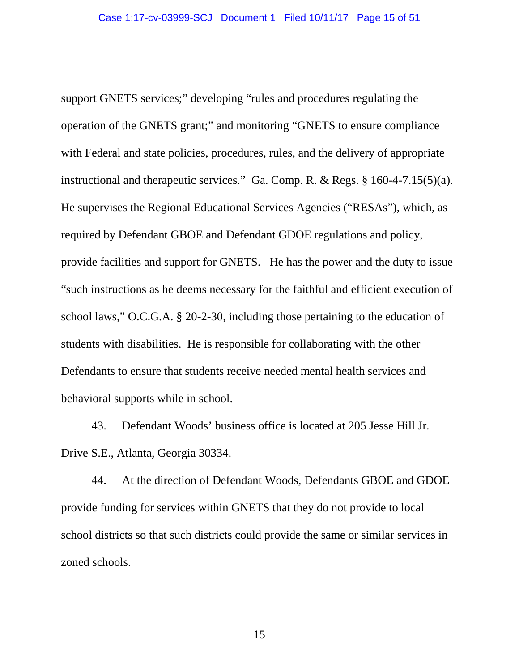support GNETS services;" developing "rules and procedures regulating the operation of the GNETS grant;" and monitoring "GNETS to ensure compliance with Federal and state policies, procedures, rules, and the delivery of appropriate instructional and therapeutic services." Ga. Comp. R. & Regs. § 160-4-7.15(5)(a). He supervises the Regional Educational Services Agencies ("RESAs"), which, as required by Defendant GBOE and Defendant GDOE regulations and policy, provide facilities and support for GNETS. He has the power and the duty to issue "such instructions as he deems necessary for the faithful and efficient execution of school laws," O.C.G.A. § 20-2-30, including those pertaining to the education of students with disabilities. He is responsible for collaborating with the other Defendants to ensure that students receive needed mental health services and behavioral supports while in school.

43. Defendant Woods' business office is located at 205 Jesse Hill Jr. Drive S.E., Atlanta, Georgia 30334.

44. At the direction of Defendant Woods, Defendants GBOE and GDOE provide funding for services within GNETS that they do not provide to local school districts so that such districts could provide the same or similar services in zoned schools.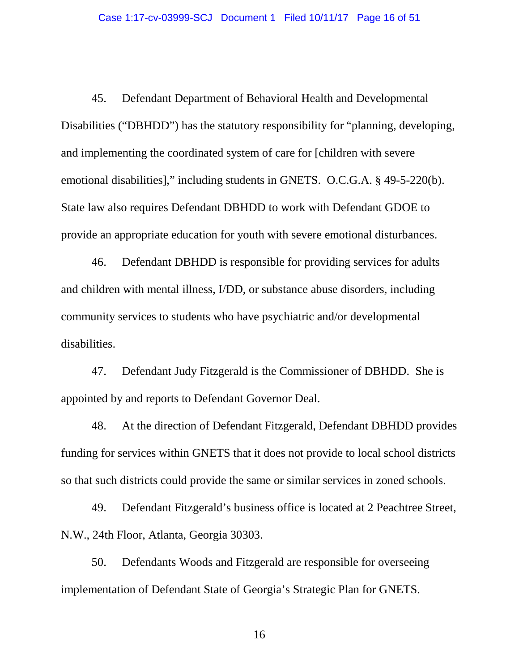45. Defendant Department of Behavioral Health and Developmental Disabilities ("DBHDD") has the statutory responsibility for "planning, developing, and implementing the coordinated system of care for [children with severe emotional disabilities]," including students in GNETS. O.C.G.A. § 49-5-220(b). State law also requires Defendant DBHDD to work with Defendant GDOE to provide an appropriate education for youth with severe emotional disturbances.

46. Defendant DBHDD is responsible for providing services for adults and children with mental illness, I/DD, or substance abuse disorders, including community services to students who have psychiatric and/or developmental disabilities.

47. Defendant Judy Fitzgerald is the Commissioner of DBHDD. She is appointed by and reports to Defendant Governor Deal.

48. At the direction of Defendant Fitzgerald, Defendant DBHDD provides funding for services within GNETS that it does not provide to local school districts so that such districts could provide the same or similar services in zoned schools.

49. Defendant Fitzgerald's business office is located at 2 Peachtree Street, N.W., 24th Floor, Atlanta, Georgia 30303.

50. Defendants Woods and Fitzgerald are responsible for overseeing implementation of Defendant State of Georgia's Strategic Plan for GNETS.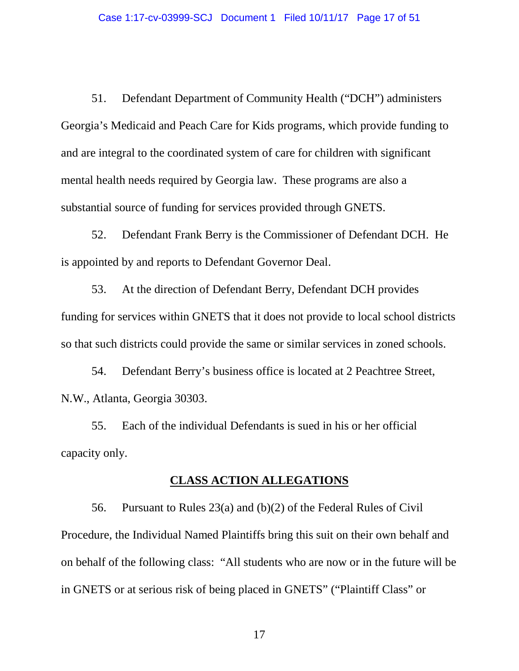51. Defendant Department of Community Health ("DCH") administers Georgia's Medicaid and Peach Care for Kids programs, which provide funding to and are integral to the coordinated system of care for children with significant mental health needs required by Georgia law. These programs are also a substantial source of funding for services provided through GNETS.

52. Defendant Frank Berry is the Commissioner of Defendant DCH. He is appointed by and reports to Defendant Governor Deal.

53. At the direction of Defendant Berry, Defendant DCH provides funding for services within GNETS that it does not provide to local school districts so that such districts could provide the same or similar services in zoned schools.

54. Defendant Berry's business office is located at 2 Peachtree Street, N.W., Atlanta, Georgia 30303.

55. Each of the individual Defendants is sued in his or her official capacity only.

#### **CLASS ACTION ALLEGATIONS**

56. Pursuant to Rules 23(a) and (b)(2) of the Federal Rules of Civil Procedure, the Individual Named Plaintiffs bring this suit on their own behalf and on behalf of the following class: "All students who are now or in the future will be in GNETS or at serious risk of being placed in GNETS" ("Plaintiff Class" or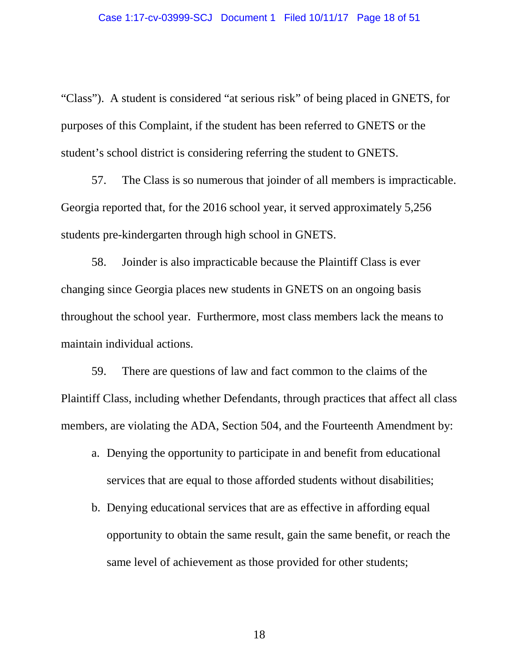"Class"). A student is considered "at serious risk" of being placed in GNETS, for purposes of this Complaint, if the student has been referred to GNETS or the student's school district is considering referring the student to GNETS.

57. The Class is so numerous that joinder of all members is impracticable. Georgia reported that, for the 2016 school year, it served approximately 5,256 students pre-kindergarten through high school in GNETS.

58. Joinder is also impracticable because the Plaintiff Class is ever changing since Georgia places new students in GNETS on an ongoing basis throughout the school year. Furthermore, most class members lack the means to maintain individual actions.

59. There are questions of law and fact common to the claims of the Plaintiff Class, including whether Defendants, through practices that affect all class members, are violating the ADA, Section 504, and the Fourteenth Amendment by:

- a. Denying the opportunity to participate in and benefit from educational services that are equal to those afforded students without disabilities;
- b. Denying educational services that are as effective in affording equal opportunity to obtain the same result, gain the same benefit, or reach the same level of achievement as those provided for other students;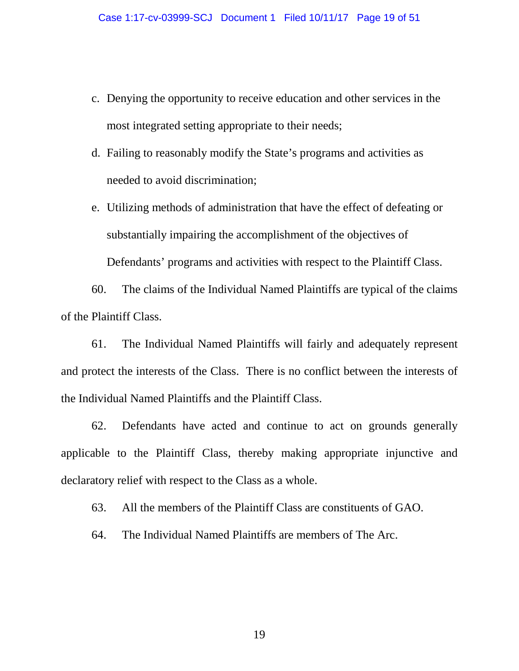- c. Denying the opportunity to receive education and other services in the most integrated setting appropriate to their needs;
- d. Failing to reasonably modify the State's programs and activities as needed to avoid discrimination;
- e. Utilizing methods of administration that have the effect of defeating or substantially impairing the accomplishment of the objectives of Defendants' programs and activities with respect to the Plaintiff Class.

60. The claims of the Individual Named Plaintiffs are typical of the claims of the Plaintiff Class.

61. The Individual Named Plaintiffs will fairly and adequately represent and protect the interests of the Class. There is no conflict between the interests of the Individual Named Plaintiffs and the Plaintiff Class.

62. Defendants have acted and continue to act on grounds generally applicable to the Plaintiff Class, thereby making appropriate injunctive and declaratory relief with respect to the Class as a whole.

63. All the members of the Plaintiff Class are constituents of GAO.

64. The Individual Named Plaintiffs are members of The Arc.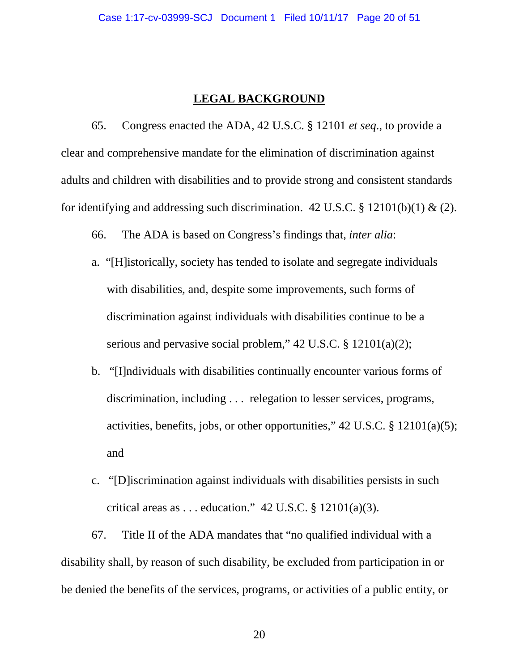### **LEGAL BACKGROUND**

65. Congress enacted the ADA, 42 U.S.C. § 12101 *et seq*., to provide a clear and comprehensive mandate for the elimination of discrimination against adults and children with disabilities and to provide strong and consistent standards for identifying and addressing such discrimination. 42 U.S.C. § 12101(b)(1) & (2).

66. The ADA is based on Congress's findings that, *inter alia*:

- a. "[H]istorically, society has tended to isolate and segregate individuals with disabilities, and, despite some improvements, such forms of discrimination against individuals with disabilities continue to be a serious and pervasive social problem," 42 U.S.C. § 12101(a)(2);
- b. "[I]ndividuals with disabilities continually encounter various forms of discrimination, including . . . relegation to lesser services, programs, activities, benefits, jobs, or other opportunities," 42 U.S.C. § 12101(a)(5); and
- c. "[D]iscrimination against individuals with disabilities persists in such critical areas as  $\dots$  education." 42 U.S.C. § 12101(a)(3).

67. Title II of the ADA mandates that "no qualified individual with a disability shall, by reason of such disability, be excluded from participation in or be denied the benefits of the services, programs, or activities of a public entity, or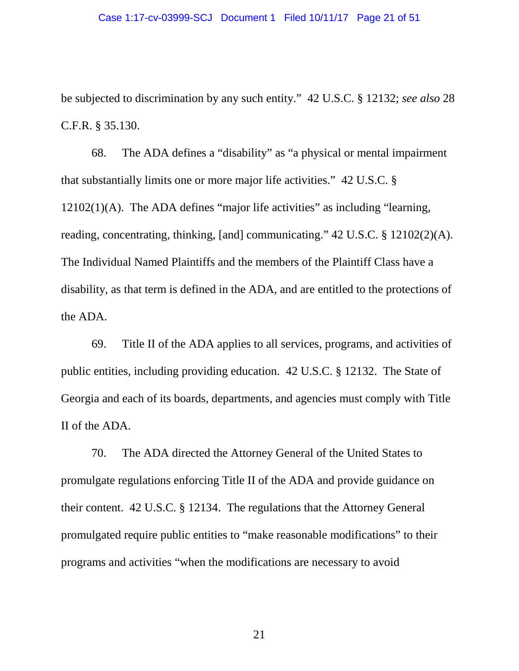#### Case 1:17-cv-03999-SCJ Document 1 Filed 10/11/17 Page 21 of 51

be subjected to discrimination by any such entity." 42 U.S.C. § 12132; *see also* 28 C.F.R. § 35.130.

68. The ADA defines a "disability" as "a physical or mental impairment that substantially limits one or more major life activities." 42 U.S.C. § 12102(1)(A). The ADA defines "major life activities" as including "learning, reading, concentrating, thinking, [and] communicating." 42 U.S.C. § 12102(2)(A). The Individual Named Plaintiffs and the members of the Plaintiff Class have a disability, as that term is defined in the ADA, and are entitled to the protections of the ADA.

69. Title II of the ADA applies to all services, programs, and activities of public entities, including providing education. 42 U.S.C. § 12132. The State of Georgia and each of its boards, departments, and agencies must comply with Title II of the ADA.

70. The ADA directed the Attorney General of the United States to promulgate regulations enforcing Title II of the ADA and provide guidance on their content. 42 U.S.C. § 12134. The regulations that the Attorney General promulgated require public entities to "make reasonable modifications" to their programs and activities "when the modifications are necessary to avoid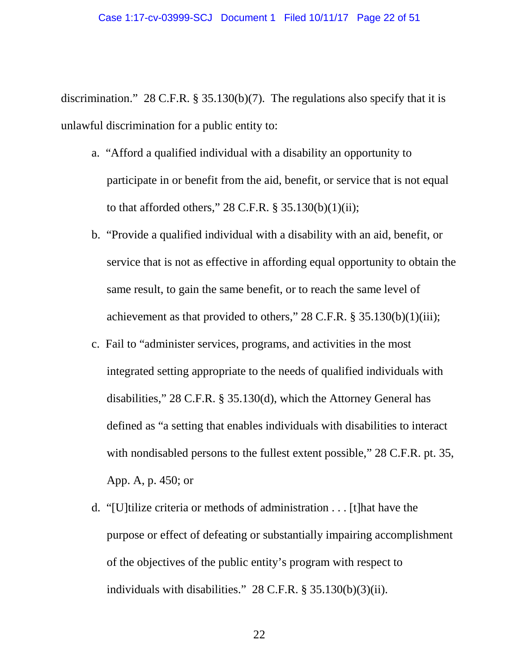discrimination." 28 C.F.R. § 35.130(b)(7). The regulations also specify that it is unlawful discrimination for a public entity to:

- a. "Afford a qualified individual with a disability an opportunity to participate in or benefit from the aid, benefit, or service that is not equal to that afforded others,"  $28$  C.F.R. §  $35.130(b)(1)(ii)$ ;
- b. "Provide a qualified individual with a disability with an aid, benefit, or service that is not as effective in affording equal opportunity to obtain the same result, to gain the same benefit, or to reach the same level of achievement as that provided to others,"  $28$  C.F.R.  $\S 35.130(b)(1)(iii)$ ;
- c. Fail to "administer services, programs, and activities in the most integrated setting appropriate to the needs of qualified individuals with disabilities," 28 C.F.R. § 35.130(d), which the Attorney General has defined as "a setting that enables individuals with disabilities to interact with nondisabled persons to the fullest extent possible," 28 C.F.R. pt. 35, App. A, p. 450; or
- d. "[U]tilize criteria or methods of administration . . . [t]hat have the purpose or effect of defeating or substantially impairing accomplishment of the objectives of the public entity's program with respect to individuals with disabilities." 28 C.F.R. § 35.130(b)(3)(ii).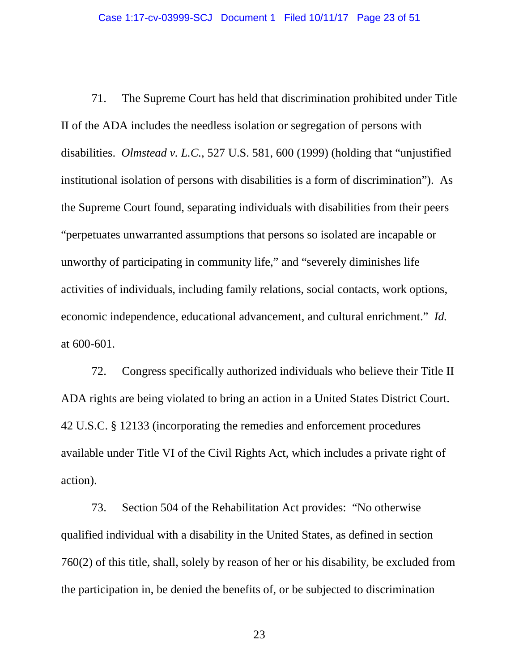71. The Supreme Court has held that discrimination prohibited under Title II of the ADA includes the needless isolation or segregation of persons with disabilities. *Olmstead v. L.C.,* 527 U.S. 581, 600 (1999) (holding that "unjustified institutional isolation of persons with disabilities is a form of discrimination"). As the Supreme Court found, separating individuals with disabilities from their peers "perpetuates unwarranted assumptions that persons so isolated are incapable or unworthy of participating in community life," and "severely diminishes life activities of individuals, including family relations, social contacts, work options, economic independence, educational advancement, and cultural enrichment." *Id.* at 600-601.

72. Congress specifically authorized individuals who believe their Title II ADA rights are being violated to bring an action in a United States District Court. 42 U.S.C. § 12133 (incorporating the remedies and enforcement procedures available under Title VI of the Civil Rights Act, which includes a private right of action).

73. Section 504 of the Rehabilitation Act provides: "No otherwise qualified individual with a disability in the United States, as defined in section 760(2) of this title, shall, solely by reason of her or his disability, be excluded from the participation in, be denied the benefits of, or be subjected to discrimination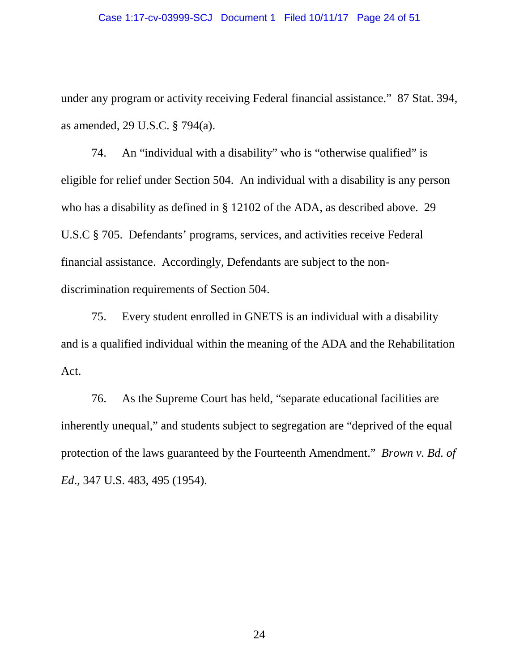#### Case 1:17-cv-03999-SCJ Document 1 Filed 10/11/17 Page 24 of 51

under any program or activity receiving Federal financial assistance." 87 Stat. 394, as amended, 29 U.S.C. § 794(a).

74. An "individual with a disability" who is "otherwise qualified" is eligible for relief under Section 504. An individual with a disability is any person who has a disability as defined in § 12102 of the ADA, as described above. 29 U.S.C § 705. Defendants' programs, services, and activities receive Federal financial assistance. Accordingly, Defendants are subject to the nondiscrimination requirements of Section 504.

75. Every student enrolled in GNETS is an individual with a disability and is a qualified individual within the meaning of the ADA and the Rehabilitation Act.

76. As the Supreme Court has held, "separate educational facilities are inherently unequal," and students subject to segregation are "deprived of the equal protection of the laws guaranteed by the Fourteenth Amendment." *Brown v. Bd. of Ed*., 347 U.S. 483, 495 (1954).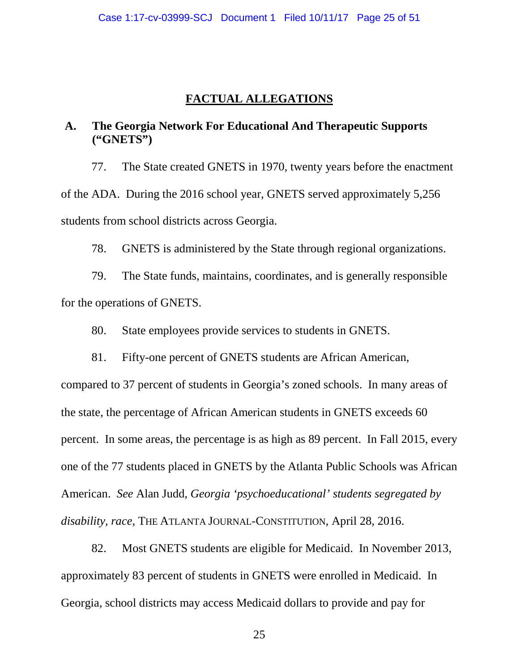## **FACTUAL ALLEGATIONS**

## **A. The Georgia Network For Educational And Therapeutic Supports ("GNETS")**

77. The State created GNETS in 1970, twenty years before the enactment of the ADA. During the 2016 school year, GNETS served approximately 5,256 students from school districts across Georgia.

78. GNETS is administered by the State through regional organizations.

79. The State funds, maintains, coordinates, and is generally responsible for the operations of GNETS.

80. State employees provide services to students in GNETS.

81. Fifty-one percent of GNETS students are African American, compared to 37 percent of students in Georgia's zoned schools. In many areas of the state, the percentage of African American students in GNETS exceeds 60 percent. In some areas, the percentage is as high as 89 percent. In Fall 2015, every one of the 77 students placed in GNETS by the Atlanta Public Schools was African American. *See* Alan Judd, *Georgia 'psychoeducational' students segregated by disability, race,* THE ATLANTA JOURNAL-CONSTITUTION, April 28, 2016.

82. Most GNETS students are eligible for Medicaid. In November 2013, approximately 83 percent of students in GNETS were enrolled in Medicaid. In Georgia, school districts may access Medicaid dollars to provide and pay for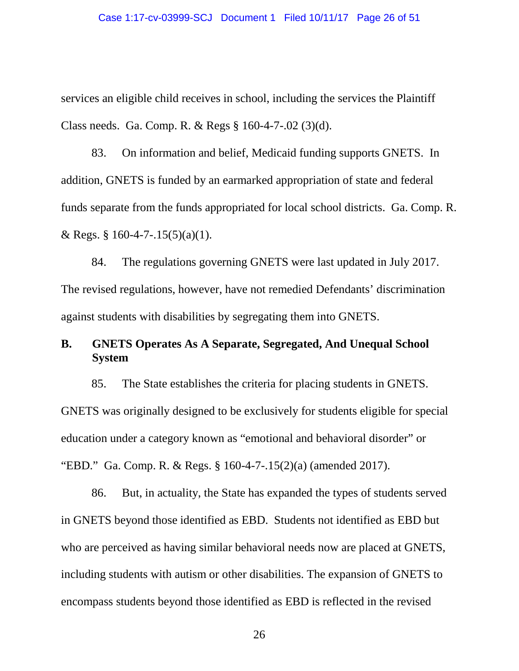services an eligible child receives in school, including the services the Plaintiff Class needs. Ga. Comp. R. & Regs § 160-4-7-.02 (3)(d).

83. On information and belief, Medicaid funding supports GNETS. In addition, GNETS is funded by an earmarked appropriation of state and federal funds separate from the funds appropriated for local school districts. Ga. Comp. R. & Regs. § 160-4-7-.15(5)(a)(1).

84. The regulations governing GNETS were last updated in July 2017. The revised regulations, however, have not remedied Defendants' discrimination against students with disabilities by segregating them into GNETS.

# **B. GNETS Operates As A Separate, Segregated, And Unequal School System**

85. The State establishes the criteria for placing students in GNETS. GNETS was originally designed to be exclusively for students eligible for special education under a category known as "emotional and behavioral disorder" or "EBD." Ga. Comp. R. & Regs. § 160-4-7-.15(2)(a) (amended 2017).

86. But, in actuality, the State has expanded the types of students served in GNETS beyond those identified as EBD. Students not identified as EBD but who are perceived as having similar behavioral needs now are placed at GNETS, including students with autism or other disabilities. The expansion of GNETS to encompass students beyond those identified as EBD is reflected in the revised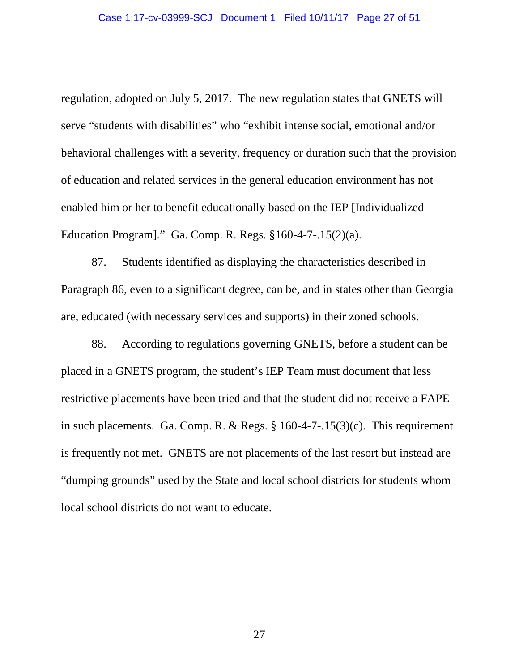regulation, adopted on July 5, 2017. The new regulation states that GNETS will serve "students with disabilities" who "exhibit intense social, emotional and/or behavioral challenges with a severity, frequency or duration such that the provision of education and related services in the general education environment has not enabled him or her to benefit educationally based on the IEP [Individualized Education Program]." Ga. Comp. R. Regs. §160-4-7-.15(2)(a).

87. Students identified as displaying the characteristics described in Paragraph 86, even to a significant degree, can be, and in states other than Georgia are, educated (with necessary services and supports) in their zoned schools.

88. According to regulations governing GNETS, before a student can be placed in a GNETS program, the student's IEP Team must document that less restrictive placements have been tried and that the student did not receive a FAPE in such placements. Ga. Comp. R. & Regs. § 160-4-7-.15(3)(c). This requirement is frequently not met. GNETS are not placements of the last resort but instead are "dumping grounds" used by the State and local school districts for students whom local school districts do not want to educate.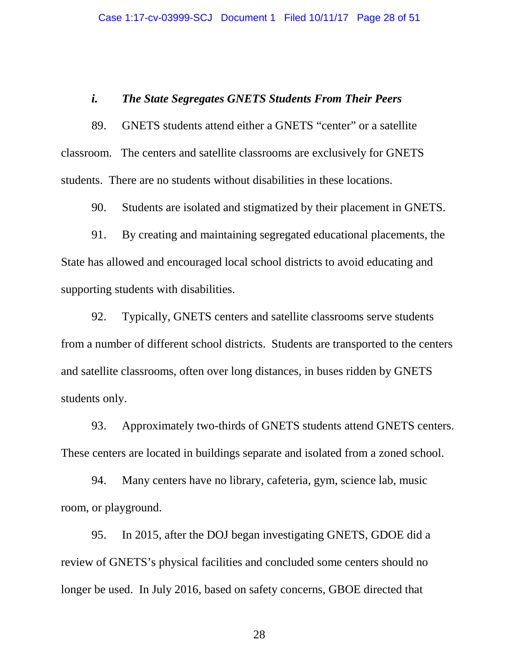#### *i. The State Segregates GNETS Students From Their Peers*

89. GNETS students attend either a GNETS "center" or a satellite classroom. The centers and satellite classrooms are exclusively for GNETS students. There are no students without disabilities in these locations.

90. Students are isolated and stigmatized by their placement in GNETS.

91. By creating and maintaining segregated educational placements, the State has allowed and encouraged local school districts to avoid educating and supporting students with disabilities.

92. Typically, GNETS centers and satellite classrooms serve students from a number of different school districts. Students are transported to the centers and satellite classrooms, often over long distances, in buses ridden by GNETS students only.

93. Approximately two-thirds of GNETS students attend GNETS centers. These centers are located in buildings separate and isolated from a zoned school.

94. Many centers have no library, cafeteria, gym, science lab, music room, or playground.

95. In 2015, after the DOJ began investigating GNETS, GDOE did a review of GNETS's physical facilities and concluded some centers should no longer be used. In July 2016, based on safety concerns, GBOE directed that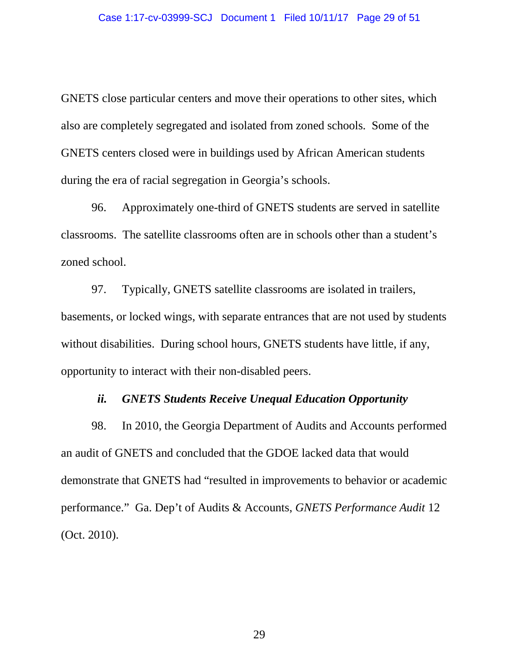GNETS close particular centers and move their operations to other sites, which also are completely segregated and isolated from zoned schools. Some of the GNETS centers closed were in buildings used by African American students during the era of racial segregation in Georgia's schools.

96. Approximately one-third of GNETS students are served in satellite classrooms. The satellite classrooms often are in schools other than a student's zoned school.

97. Typically, GNETS satellite classrooms are isolated in trailers, basements, or locked wings, with separate entrances that are not used by students without disabilities. During school hours, GNETS students have little, if any, opportunity to interact with their non-disabled peers.

#### *ii. GNETS Students Receive Unequal Education Opportunity*

98. In 2010, the Georgia Department of Audits and Accounts performed an audit of GNETS and concluded that the GDOE lacked data that would demonstrate that GNETS had "resulted in improvements to behavior or academic performance." Ga. Dep't of Audits & Accounts, *GNETS Performance Audit* 12 (Oct. 2010).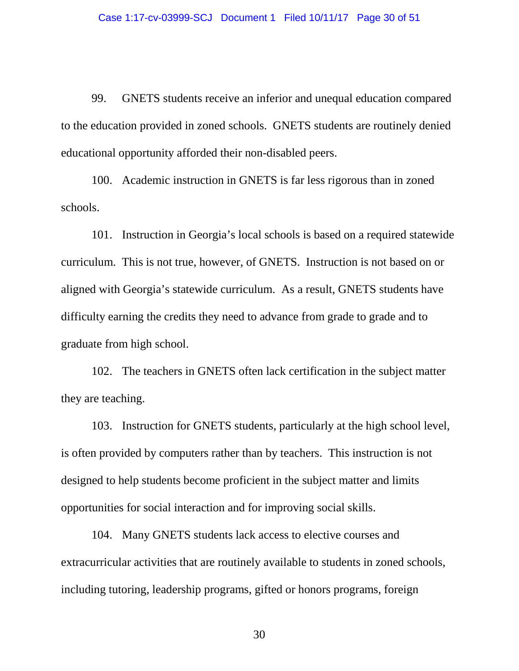99. GNETS students receive an inferior and unequal education compared to the education provided in zoned schools. GNETS students are routinely denied educational opportunity afforded their non-disabled peers.

100. Academic instruction in GNETS is far less rigorous than in zoned schools.

101. Instruction in Georgia's local schools is based on a required statewide curriculum. This is not true, however, of GNETS. Instruction is not based on or aligned with Georgia's statewide curriculum. As a result, GNETS students have difficulty earning the credits they need to advance from grade to grade and to graduate from high school.

102. The teachers in GNETS often lack certification in the subject matter they are teaching.

103. Instruction for GNETS students, particularly at the high school level, is often provided by computers rather than by teachers. This instruction is not designed to help students become proficient in the subject matter and limits opportunities for social interaction and for improving social skills.

104. Many GNETS students lack access to elective courses and extracurricular activities that are routinely available to students in zoned schools, including tutoring, leadership programs, gifted or honors programs, foreign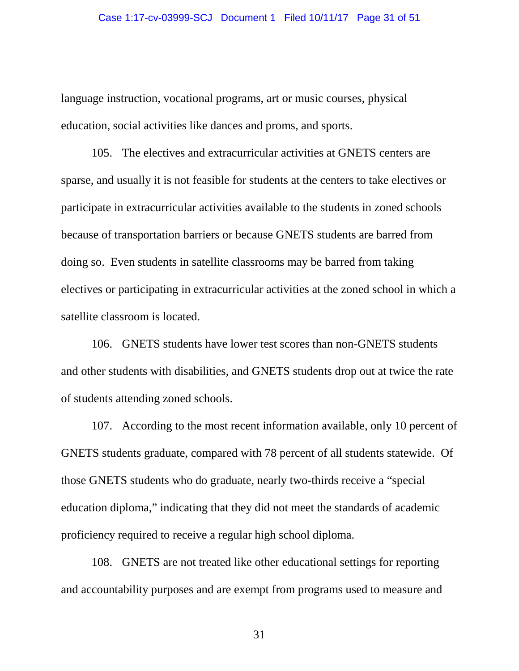language instruction, vocational programs, art or music courses, physical education, social activities like dances and proms, and sports.

105. The electives and extracurricular activities at GNETS centers are sparse, and usually it is not feasible for students at the centers to take electives or participate in extracurricular activities available to the students in zoned schools because of transportation barriers or because GNETS students are barred from doing so. Even students in satellite classrooms may be barred from taking electives or participating in extracurricular activities at the zoned school in which a satellite classroom is located.

106. GNETS students have lower test scores than non-GNETS students and other students with disabilities, and GNETS students drop out at twice the rate of students attending zoned schools.

107. According to the most recent information available, only 10 percent of GNETS students graduate, compared with 78 percent of all students statewide. Of those GNETS students who do graduate, nearly two-thirds receive a "special education diploma," indicating that they did not meet the standards of academic proficiency required to receive a regular high school diploma.

108. GNETS are not treated like other educational settings for reporting and accountability purposes and are exempt from programs used to measure and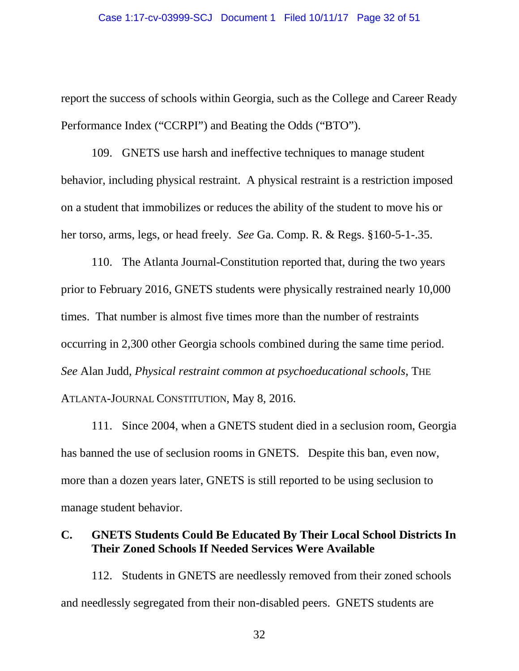report the success of schools within Georgia, such as the College and Career Ready Performance Index ("CCRPI") and Beating the Odds ("BTO").

109. GNETS use harsh and ineffective techniques to manage student behavior, including physical restraint. A physical restraint is a restriction imposed on a student that immobilizes or reduces the ability of the student to move his or her torso, arms, legs, or head freely. *See* Ga. Comp. R. & Regs. §160-5-1-.35.

110. The Atlanta Journal-Constitution reported that, during the two years prior to February 2016, GNETS students were physically restrained nearly 10,000 times. That number is almost five times more than the number of restraints occurring in 2,300 other Georgia schools combined during the same time period. *See* Alan Judd, *Physical restraint common at psychoeducational schools*, THE ATLANTA-JOURNAL CONSTITUTION, May 8, 2016.

111. Since 2004, when a GNETS student died in a seclusion room, Georgia has banned the use of seclusion rooms in GNETS. Despite this ban, even now, more than a dozen years later, GNETS is still reported to be using seclusion to manage student behavior.

# **C. GNETS Students Could Be Educated By Their Local School Districts In Their Zoned Schools If Needed Services Were Available**

112. Students in GNETS are needlessly removed from their zoned schools and needlessly segregated from their non-disabled peers. GNETS students are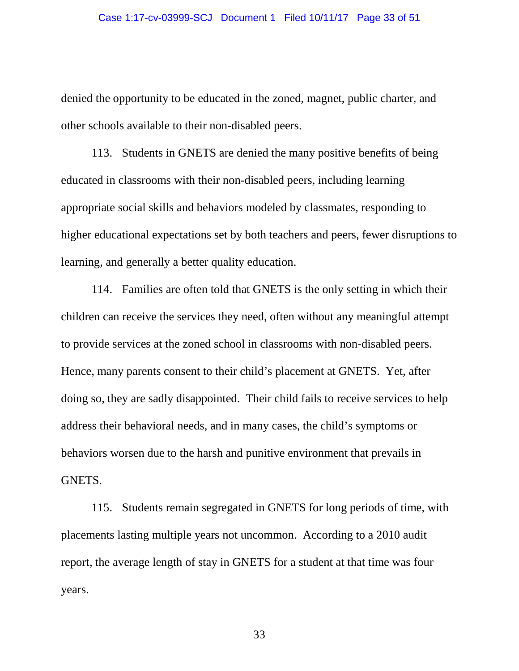denied the opportunity to be educated in the zoned, magnet, public charter, and other schools available to their non-disabled peers.

113. Students in GNETS are denied the many positive benefits of being educated in classrooms with their non-disabled peers, including learning appropriate social skills and behaviors modeled by classmates, responding to higher educational expectations set by both teachers and peers, fewer disruptions to learning, and generally a better quality education.

114. Families are often told that GNETS is the only setting in which their children can receive the services they need, often without any meaningful attempt to provide services at the zoned school in classrooms with non-disabled peers. Hence, many parents consent to their child's placement at GNETS. Yet, after doing so, they are sadly disappointed. Their child fails to receive services to help address their behavioral needs, and in many cases, the child's symptoms or behaviors worsen due to the harsh and punitive environment that prevails in GNETS.

115. Students remain segregated in GNETS for long periods of time, with placements lasting multiple years not uncommon. According to a 2010 audit report, the average length of stay in GNETS for a student at that time was four years.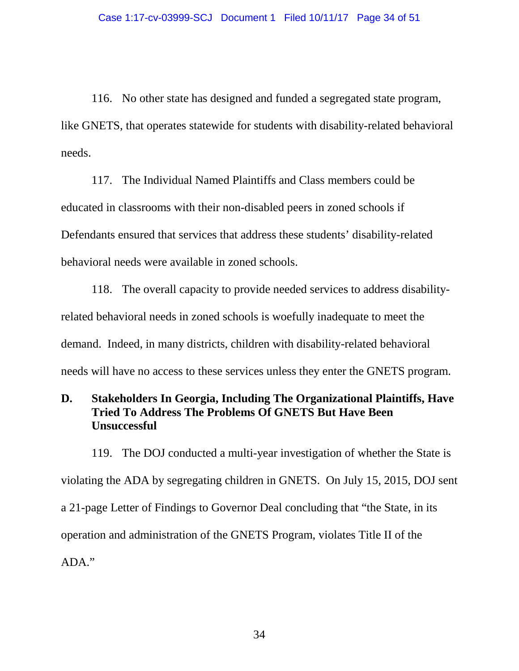116. No other state has designed and funded a segregated state program, like GNETS, that operates statewide for students with disability-related behavioral needs.

117. The Individual Named Plaintiffs and Class members could be educated in classrooms with their non-disabled peers in zoned schools if Defendants ensured that services that address these students' disability-related behavioral needs were available in zoned schools.

118. The overall capacity to provide needed services to address disabilityrelated behavioral needs in zoned schools is woefully inadequate to meet the demand. Indeed, in many districts, children with disability-related behavioral needs will have no access to these services unless they enter the GNETS program.

# **D. Stakeholders In Georgia, Including The Organizational Plaintiffs, Have Tried To Address The Problems Of GNETS But Have Been Unsuccessful**

119. The DOJ conducted a multi-year investigation of whether the State is violating the ADA by segregating children in GNETS. On July 15, 2015, DOJ sent a 21-page Letter of Findings to Governor Deal concluding that "the State, in its operation and administration of the GNETS Program, violates Title II of the ADA."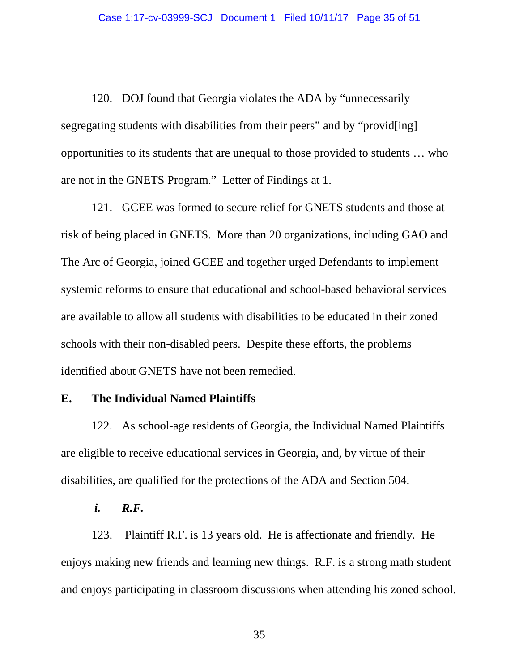120. DOJ found that Georgia violates the ADA by "unnecessarily segregating students with disabilities from their peers" and by "provid[ing] opportunities to its students that are unequal to those provided to students … who are not in the GNETS Program." Letter of Findings at 1.

121. GCEE was formed to secure relief for GNETS students and those at risk of being placed in GNETS. More than 20 organizations, including GAO and The Arc of Georgia, joined GCEE and together urged Defendants to implement systemic reforms to ensure that educational and school-based behavioral services are available to allow all students with disabilities to be educated in their zoned schools with their non-disabled peers. Despite these efforts, the problems identified about GNETS have not been remedied.

### **E. The Individual Named Plaintiffs**

122. As school-age residents of Georgia, the Individual Named Plaintiffs are eligible to receive educational services in Georgia, and, by virtue of their disabilities, are qualified for the protections of the ADA and Section 504.

*i. R.F.* 

123. Plaintiff R.F. is 13 years old. He is affectionate and friendly. He enjoys making new friends and learning new things. R.F. is a strong math student and enjoys participating in classroom discussions when attending his zoned school.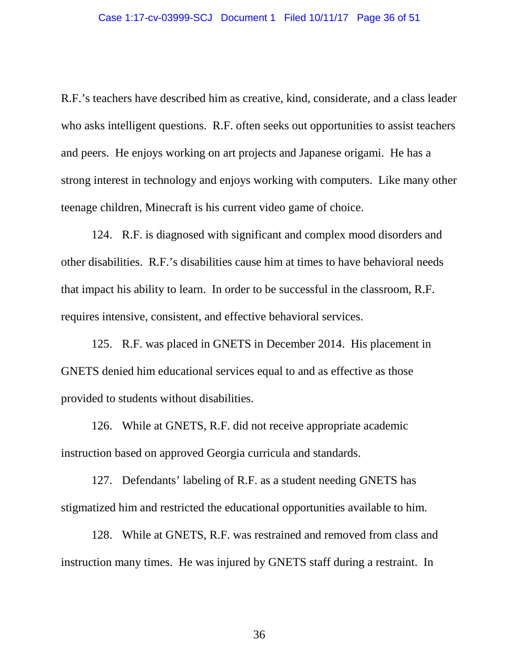R.F.'s teachers have described him as creative, kind, considerate, and a class leader who asks intelligent questions. R.F. often seeks out opportunities to assist teachers and peers. He enjoys working on art projects and Japanese origami. He has a strong interest in technology and enjoys working with computers. Like many other teenage children, Minecraft is his current video game of choice.

124. R.F. is diagnosed with significant and complex mood disorders and other disabilities. R.F.'s disabilities cause him at times to have behavioral needs that impact his ability to learn. In order to be successful in the classroom, R.F. requires intensive, consistent, and effective behavioral services.

125. R.F. was placed in GNETS in December 2014. His placement in GNETS denied him educational services equal to and as effective as those provided to students without disabilities.

126. While at GNETS, R.F. did not receive appropriate academic instruction based on approved Georgia curricula and standards.

127. Defendants' labeling of R.F. as a student needing GNETS has stigmatized him and restricted the educational opportunities available to him.

128. While at GNETS, R.F. was restrained and removed from class and instruction many times. He was injured by GNETS staff during a restraint. In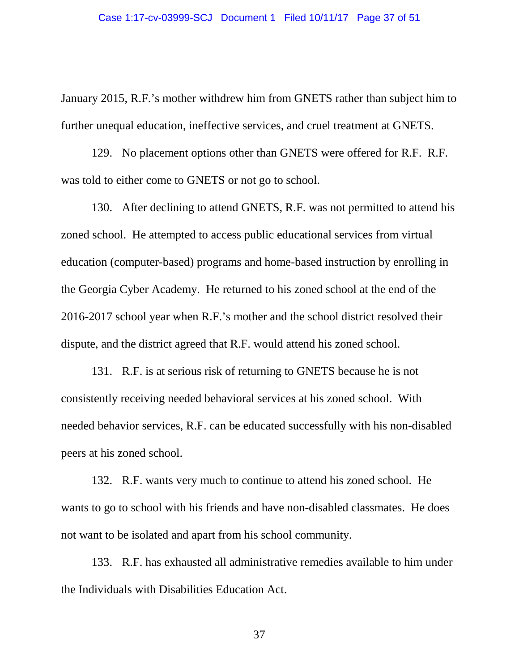January 2015, R.F.'s mother withdrew him from GNETS rather than subject him to further unequal education, ineffective services, and cruel treatment at GNETS.

129. No placement options other than GNETS were offered for R.F. R.F. was told to either come to GNETS or not go to school.

130. After declining to attend GNETS, R.F. was not permitted to attend his zoned school. He attempted to access public educational services from virtual education (computer-based) programs and home-based instruction by enrolling in the Georgia Cyber Academy. He returned to his zoned school at the end of the 2016-2017 school year when R.F.'s mother and the school district resolved their dispute, and the district agreed that R.F. would attend his zoned school.

131. R.F. is at serious risk of returning to GNETS because he is not consistently receiving needed behavioral services at his zoned school. With needed behavior services, R.F. can be educated successfully with his non-disabled peers at his zoned school.

132. R.F. wants very much to continue to attend his zoned school. He wants to go to school with his friends and have non-disabled classmates. He does not want to be isolated and apart from his school community.

133. R.F. has exhausted all administrative remedies available to him under the Individuals with Disabilities Education Act.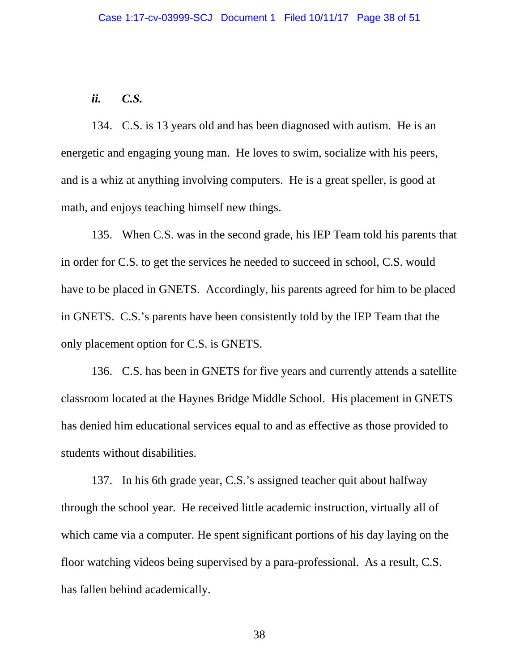## *ii. C.S.*

134. C.S. is 13 years old and has been diagnosed with autism. He is an energetic and engaging young man. He loves to swim, socialize with his peers, and is a whiz at anything involving computers. He is a great speller, is good at math, and enjoys teaching himself new things.

135. When C.S. was in the second grade, his IEP Team told his parents that in order for C.S. to get the services he needed to succeed in school, C.S. would have to be placed in GNETS. Accordingly, his parents agreed for him to be placed in GNETS. C.S.'s parents have been consistently told by the IEP Team that the only placement option for C.S. is GNETS.

136. C.S. has been in GNETS for five years and currently attends a satellite classroom located at the Haynes Bridge Middle School. His placement in GNETS has denied him educational services equal to and as effective as those provided to students without disabilities.

137. In his 6th grade year, C.S.'s assigned teacher quit about halfway through the school year. He received little academic instruction, virtually all of which came via a computer. He spent significant portions of his day laying on the floor watching videos being supervised by a para-professional. As a result, C.S. has fallen behind academically.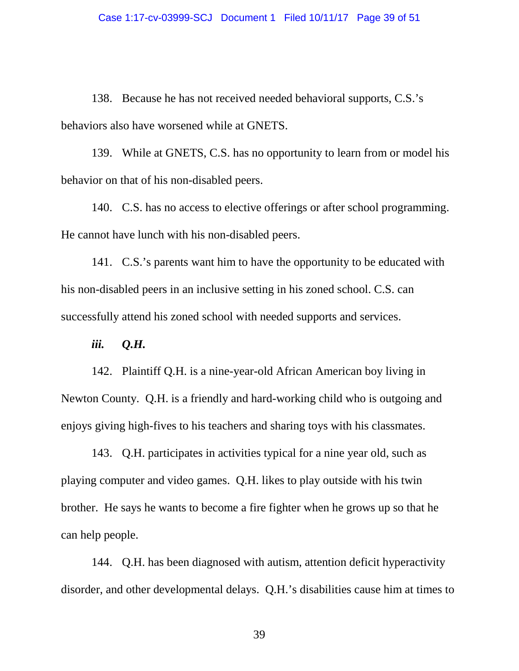138. Because he has not received needed behavioral supports, C.S.'s behaviors also have worsened while at GNETS.

139. While at GNETS, C.S. has no opportunity to learn from or model his behavior on that of his non-disabled peers.

140. C.S. has no access to elective offerings or after school programming. He cannot have lunch with his non-disabled peers.

141. C.S.'s parents want him to have the opportunity to be educated with his non-disabled peers in an inclusive setting in his zoned school. C.S. can successfully attend his zoned school with needed supports and services.

*iii. Q.H.* 

142. Plaintiff Q.H. is a nine-year-old African American boy living in Newton County. Q.H. is a friendly and hard-working child who is outgoing and enjoys giving high-fives to his teachers and sharing toys with his classmates.

143. Q.H. participates in activities typical for a nine year old, such as playing computer and video games. Q.H. likes to play outside with his twin brother. He says he wants to become a fire fighter when he grows up so that he can help people.

144. Q.H. has been diagnosed with autism, attention deficit hyperactivity disorder, and other developmental delays. Q.H.'s disabilities cause him at times to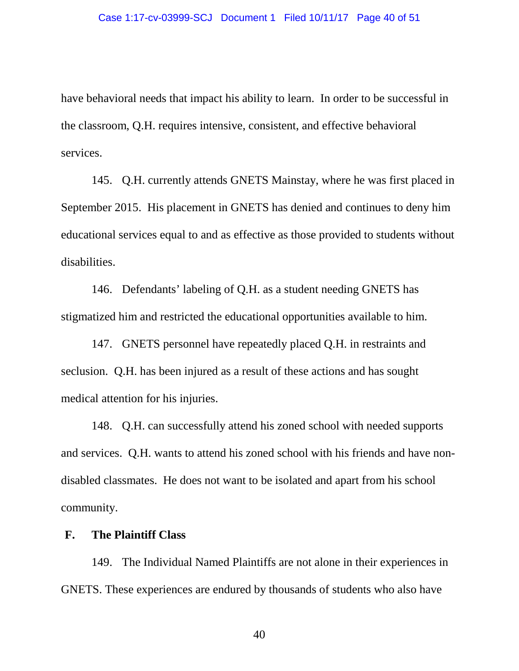have behavioral needs that impact his ability to learn. In order to be successful in the classroom, Q.H. requires intensive, consistent, and effective behavioral services.

145. Q.H. currently attends GNETS Mainstay, where he was first placed in September 2015. His placement in GNETS has denied and continues to deny him educational services equal to and as effective as those provided to students without disabilities.

146. Defendants' labeling of Q.H. as a student needing GNETS has stigmatized him and restricted the educational opportunities available to him.

147. GNETS personnel have repeatedly placed Q.H. in restraints and seclusion. Q.H. has been injured as a result of these actions and has sought medical attention for his injuries.

148. Q.H. can successfully attend his zoned school with needed supports and services. Q.H. wants to attend his zoned school with his friends and have nondisabled classmates. He does not want to be isolated and apart from his school community.

### **F. The Plaintiff Class**

149. The Individual Named Plaintiffs are not alone in their experiences in GNETS. These experiences are endured by thousands of students who also have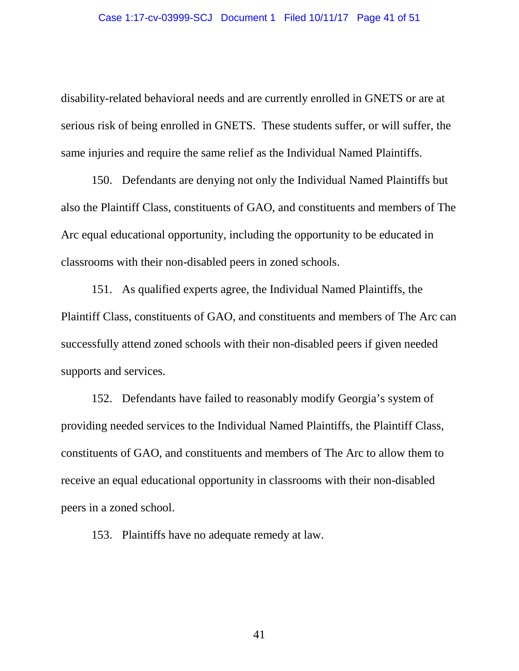disability-related behavioral needs and are currently enrolled in GNETS or are at serious risk of being enrolled in GNETS. These students suffer, or will suffer, the same injuries and require the same relief as the Individual Named Plaintiffs.

150. Defendants are denying not only the Individual Named Plaintiffs but also the Plaintiff Class, constituents of GAO, and constituents and members of The Arc equal educational opportunity, including the opportunity to be educated in classrooms with their non-disabled peers in zoned schools.

151. As qualified experts agree, the Individual Named Plaintiffs, the Plaintiff Class, constituents of GAO, and constituents and members of The Arc can successfully attend zoned schools with their non-disabled peers if given needed supports and services.

152. Defendants have failed to reasonably modify Georgia's system of providing needed services to the Individual Named Plaintiffs, the Plaintiff Class, constituents of GAO, and constituents and members of The Arc to allow them to receive an equal educational opportunity in classrooms with their non-disabled peers in a zoned school.

153. Plaintiffs have no adequate remedy at law.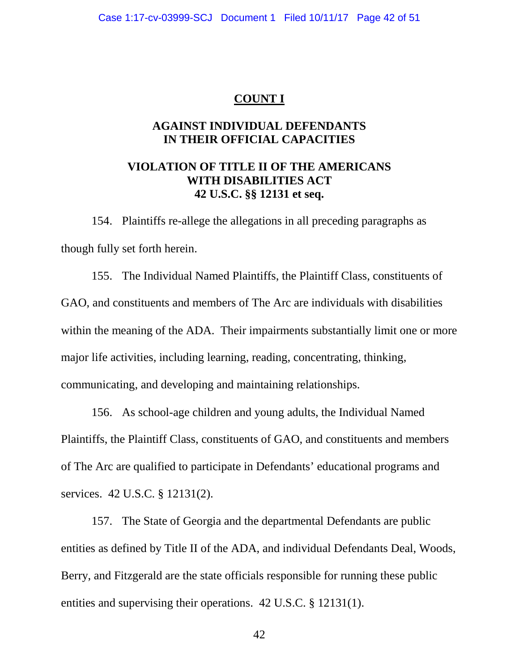### **COUNT I**

## **AGAINST INDIVIDUAL DEFENDANTS IN THEIR OFFICIAL CAPACITIES**

## **VIOLATION OF TITLE II OF THE AMERICANS WITH DISABILITIES ACT 42 U.S.C. §§ 12131 et seq.**

154. Plaintiffs re-allege the allegations in all preceding paragraphs as though fully set forth herein.

155. The Individual Named Plaintiffs, the Plaintiff Class, constituents of GAO, and constituents and members of The Arc are individuals with disabilities within the meaning of the ADA. Their impairments substantially limit one or more major life activities, including learning, reading, concentrating, thinking, communicating, and developing and maintaining relationships.

156. As school-age children and young adults, the Individual Named Plaintiffs, the Plaintiff Class, constituents of GAO, and constituents and members of The Arc are qualified to participate in Defendants' educational programs and services. 42 U.S.C. § 12131(2).

157. The State of Georgia and the departmental Defendants are public entities as defined by Title II of the ADA, and individual Defendants Deal, Woods, Berry, and Fitzgerald are the state officials responsible for running these public entities and supervising their operations. 42 U.S.C. § 12131(1).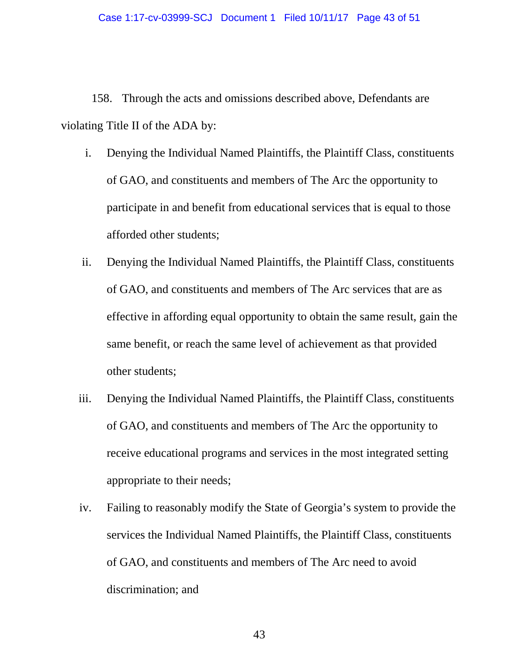158. Through the acts and omissions described above, Defendants are violating Title II of the ADA by:

- i. Denying the Individual Named Plaintiffs, the Plaintiff Class, constituents of GAO, and constituents and members of The Arc the opportunity to participate in and benefit from educational services that is equal to those afforded other students;
- ii. Denying the Individual Named Plaintiffs, the Plaintiff Class, constituents of GAO, and constituents and members of The Arc services that are as effective in affording equal opportunity to obtain the same result, gain the same benefit, or reach the same level of achievement as that provided other students;
- iii. Denying the Individual Named Plaintiffs, the Plaintiff Class, constituents of GAO, and constituents and members of The Arc the opportunity to receive educational programs and services in the most integrated setting appropriate to their needs;
- iv. Failing to reasonably modify the State of Georgia's system to provide the services the Individual Named Plaintiffs, the Plaintiff Class, constituents of GAO, and constituents and members of The Arc need to avoid discrimination; and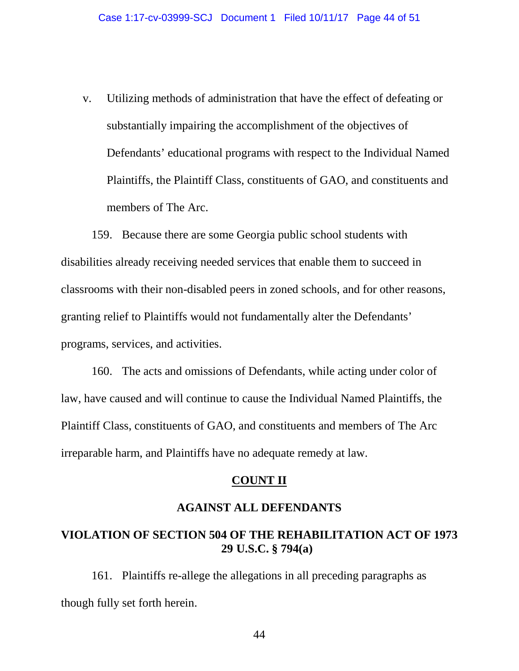v. Utilizing methods of administration that have the effect of defeating or substantially impairing the accomplishment of the objectives of Defendants' educational programs with respect to the Individual Named Plaintiffs, the Plaintiff Class, constituents of GAO, and constituents and members of The Arc.

159. Because there are some Georgia public school students with disabilities already receiving needed services that enable them to succeed in classrooms with their non-disabled peers in zoned schools, and for other reasons, granting relief to Plaintiffs would not fundamentally alter the Defendants' programs, services, and activities.

160. The acts and omissions of Defendants, while acting under color of law, have caused and will continue to cause the Individual Named Plaintiffs, the Plaintiff Class, constituents of GAO, and constituents and members of The Arc irreparable harm, and Plaintiffs have no adequate remedy at law.

### **COUNT II**

#### **AGAINST ALL DEFENDANTS**

# **VIOLATION OF SECTION 504 OF THE REHABILITATION ACT OF 1973 29 U.S.C. § 794(a)**

161. Plaintiffs re-allege the allegations in all preceding paragraphs as though fully set forth herein.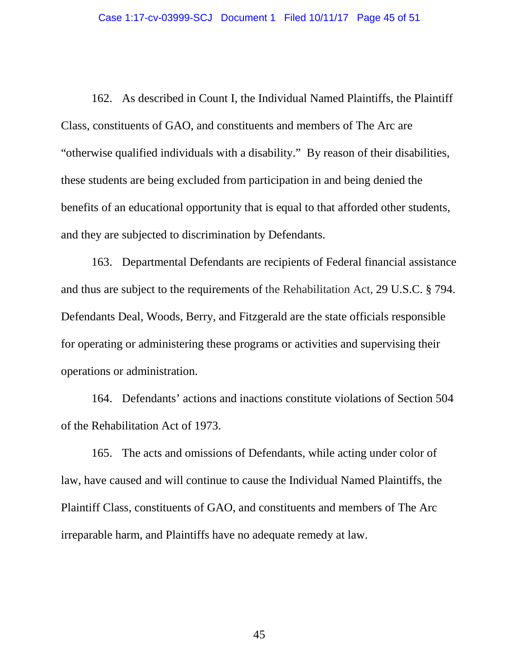162. As described in Count I, the Individual Named Plaintiffs, the Plaintiff Class, constituents of GAO, and constituents and members of The Arc are "otherwise qualified individuals with a disability." By reason of their disabilities, these students are being excluded from participation in and being denied the benefits of an educational opportunity that is equal to that afforded other students, and they are subjected to discrimination by Defendants.

163. Departmental Defendants are recipients of Federal financial assistance and thus are subject to the requirements of the Rehabilitation Act, 29 U.S.C. § 794. Defendants Deal, Woods, Berry, and Fitzgerald are the state officials responsible for operating or administering these programs or activities and supervising their operations or administration.

164. Defendants' actions and inactions constitute violations of Section 504 of the Rehabilitation Act of 1973.

165. The acts and omissions of Defendants, while acting under color of law, have caused and will continue to cause the Individual Named Plaintiffs, the Plaintiff Class, constituents of GAO, and constituents and members of The Arc irreparable harm, and Plaintiffs have no adequate remedy at law.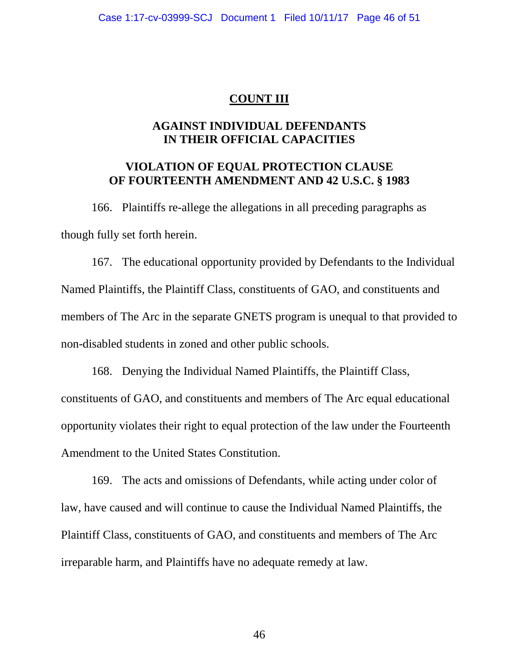### **COUNT III**

## **AGAINST INDIVIDUAL DEFENDANTS IN THEIR OFFICIAL CAPACITIES**

## **VIOLATION OF EQUAL PROTECTION CLAUSE OF FOURTEENTH AMENDMENT AND 42 U.S.C. § 1983**

166. Plaintiffs re-allege the allegations in all preceding paragraphs as though fully set forth herein.

167. The educational opportunity provided by Defendants to the Individual Named Plaintiffs, the Plaintiff Class, constituents of GAO, and constituents and members of The Arc in the separate GNETS program is unequal to that provided to non-disabled students in zoned and other public schools.

168. Denying the Individual Named Plaintiffs, the Plaintiff Class, constituents of GAO, and constituents and members of The Arc equal educational opportunity violates their right to equal protection of the law under the Fourteenth Amendment to the United States Constitution.

169. The acts and omissions of Defendants, while acting under color of law, have caused and will continue to cause the Individual Named Plaintiffs, the Plaintiff Class, constituents of GAO, and constituents and members of The Arc irreparable harm, and Plaintiffs have no adequate remedy at law.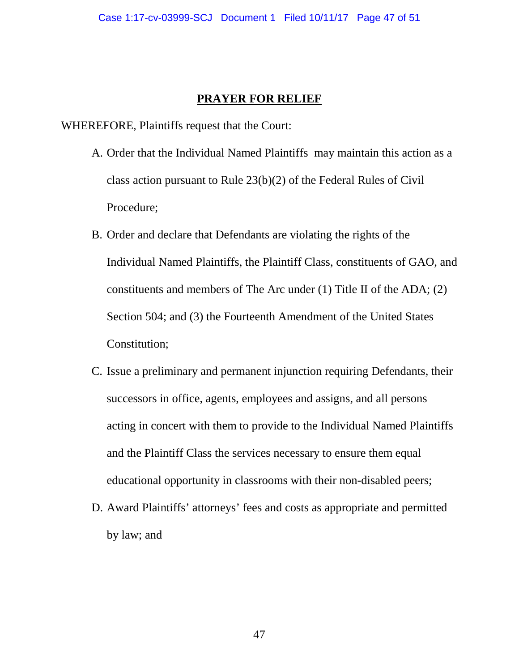### **PRAYER FOR RELIEF**

WHEREFORE, Plaintiffs request that the Court:

- A. Order that the Individual Named Plaintiffs may maintain this action as a class action pursuant to Rule 23(b)(2) of the Federal Rules of Civil Procedure;
- B. Order and declare that Defendants are violating the rights of the Individual Named Plaintiffs, the Plaintiff Class, constituents of GAO, and constituents and members of The Arc under (1) Title II of the ADA; (2) Section 504; and (3) the Fourteenth Amendment of the United States Constitution;
- C. Issue a preliminary and permanent injunction requiring Defendants, their successors in office, agents, employees and assigns, and all persons acting in concert with them to provide to the Individual Named Plaintiffs and the Plaintiff Class the services necessary to ensure them equal educational opportunity in classrooms with their non-disabled peers;
- D. Award Plaintiffs' attorneys' fees and costs as appropriate and permitted by law; and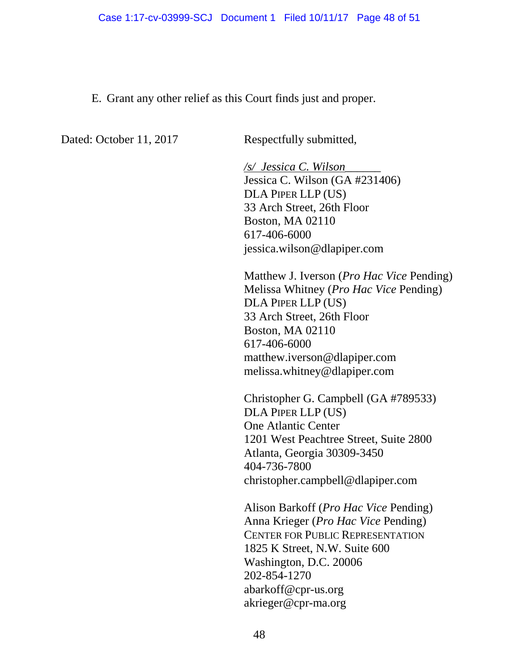E. Grant any other relief as this Court finds just and proper.

Dated: October 11, 2017 Respectfully submitted,

*/s/ Jessica C. Wilson*\_\_\_\_\_\_ Jessica C. Wilson (GA #231406) DLA PIPER LLP (US) 33 Arch Street, 26th Floor Boston, MA 02110 617-406-6000 jessica.wilson@dlapiper.com

Matthew J. Iverson (*Pro Hac Vice* Pending) Melissa Whitney (*Pro Hac Vice* Pending) DLA PIPER LLP (US) 33 Arch Street, 26th Floor Boston, MA 02110 617-406-6000 matthew.iverson@dlapiper.com melissa.whitney@dlapiper.com

Christopher G. Campbell (GA #789533) DLA PIPER LLP (US) One Atlantic Center 1201 West Peachtree Street, Suite 2800 Atlanta, Georgia 30309-3450 404-736-7800 christopher.campbell@dlapiper.com

Alison Barkoff (*Pro Hac Vice* Pending) Anna Krieger (*Pro Hac Vice* Pending) CENTER FOR PUBLIC REPRESENTATION 1825 K Street, N.W. Suite 600 Washington, D.C. 20006 202-854-1270 abarkoff@cpr-us.org akrieger@cpr-ma.org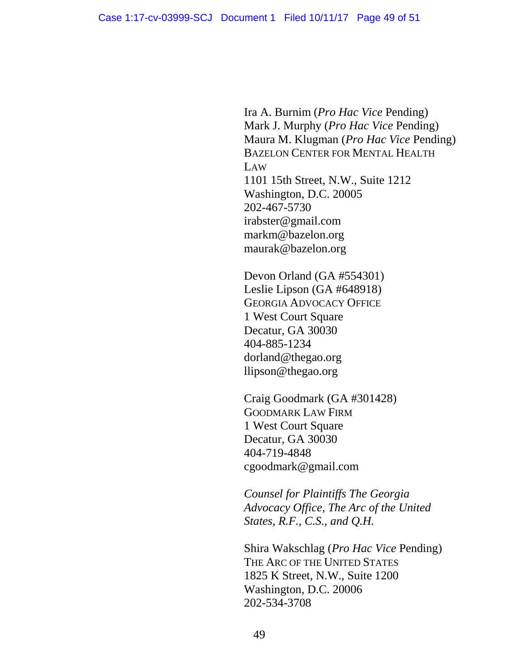Ira A. Burnim (*Pro Hac Vice* Pending) Mark J. Murphy (*Pro Hac Vice* Pending) Maura M. Klugman (*Pro Hac Vice* Pending) BAZELON CENTER FOR MENTAL HEALTH LAW 1101 15th Street, N.W., Suite 1212 Washington, D.C. 20005 202-467-5730 irabster@gmail.com markm@bazelon.org maurak@bazelon.org

Devon Orland (GA #554301) Leslie Lipson (GA #648918) GEORGIA ADVOCACY OFFICE 1 West Court Square Decatur, GA 30030 404-885-1234 dorland@thegao.org llipson@thegao.org

Craig Goodmark (GA #301428) GOODMARK LAW FIRM 1 West Court Square Decatur, GA 30030 404-719-4848 cgoodmark@gmail.com

*Counsel for Plaintiffs The Georgia Advocacy Office, The Arc of the United States, R.F., C.S., and Q.H.* 

Shira Wakschlag (*Pro Hac Vice* Pending) THE ARC OF THE UNITED STATES 1825 K Street, N.W., Suite 1200 Washington, D.C. 20006 202-534-3708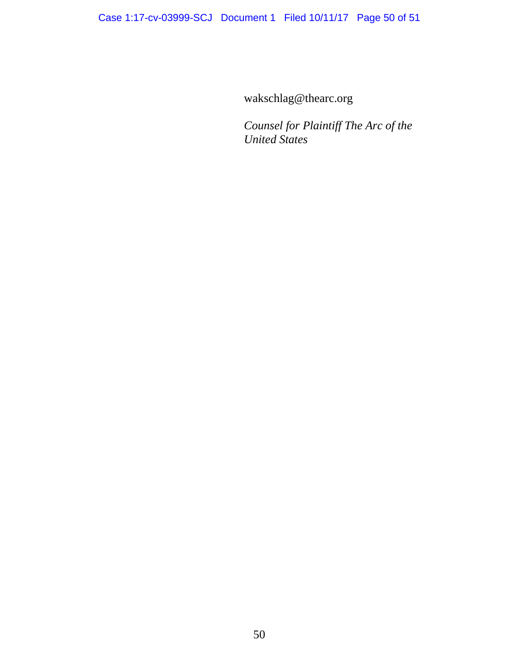wakschlag@thearc.org

*Counsel for Plaintiff The Arc of the United States*